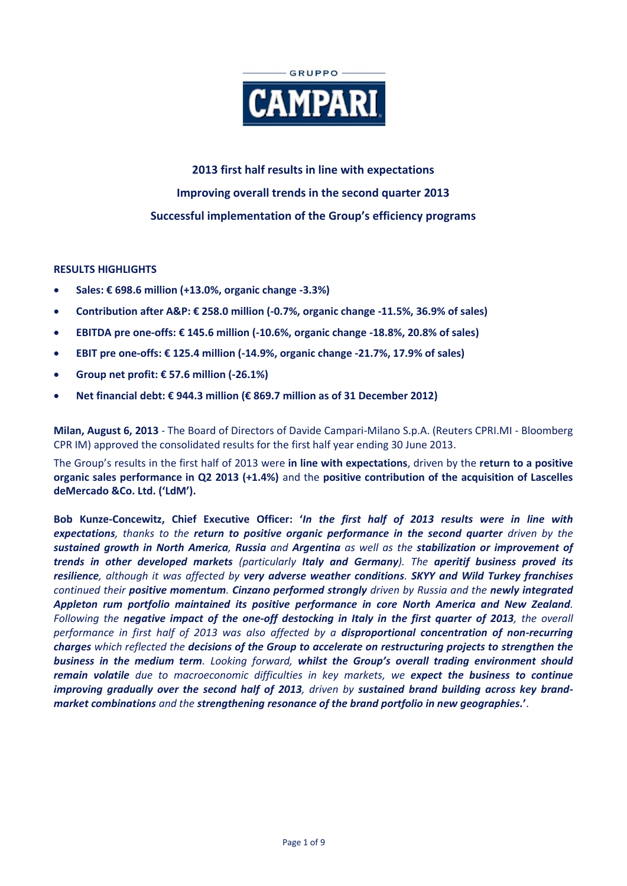

# **2013 first half results in line with expectations Improving overall trends in the second quarter 2013 Successful implementation of the Group's efficiency programs**

# **RESULTS HIGHLIGHTS**

- **Sales: € 698.6 million (+13.0%, organic change -3.3%)**
- **Contribution after A&P: € 258.0 million (-0.7%, organic change -11.5%, 36.9% of sales)**
- **EBITDA pre one-offs: € 145.6 million (-10.6%, organic change -18.8%, 20.8% of sales)**
- **EBIT pre one-offs: € 125.4 million (-14.9%, organic change -21.7%, 17.9% of sales)**
- **Group net profit: € 57.6 million (-26.1%)**
- **Net financial debt: € 944.3 million (€ 869.7 million as of 31 December 2012)**

**Milan, August 6, 2013** - The Board of Directors of Davide Campari-Milano S.p.A. (Reuters CPRI.MI - Bloomberg CPR IM) approved the consolidated results for the first half year ending 30 June 2013.

The Group's results in the first half of 2013 were **in line with expectations**, driven by the **return to a positive organic sales performance in Q2 2013 (+1.4%)** and the **positive contribution of the acquisition of Lascelles deMercado &Co. Ltd. ('LdM').**

**Bob Kunze-Concewitz, Chief Executive Officer: '***In the first half of 2013 results were in line with expectations, thanks to the return to positive organic performance in the second quarter driven by the sustained growth in North America, Russia and Argentina as well as the stabilization or improvement of trends in other developed markets (particularly Italy and Germany). The aperitif business proved its resilience, although it was affected by very adverse weather conditions. SKYY and Wild Turkey franchises continued their positive momentum. Cinzano performed strongly driven by Russia and the newly integrated Appleton rum portfolio maintained its positive performance in core North America and New Zealand. Following the negative impact of the one-off destocking in Italy in the first quarter of 2013, the overall performance in first half of 2013 was also affected by a disproportional concentration of non-recurring charges which reflected the decisions of the Group to accelerate on restructuring projects to strengthen the business in the medium term. Looking forward, whilst the Group's overall trading environment should remain volatile due to macroeconomic difficulties in key markets, we expect the business to continue improving gradually over the second half of 2013, driven by sustained brand building across key brandmarket combinations and the strengthening resonance of the brand portfolio in new geographies.***'**.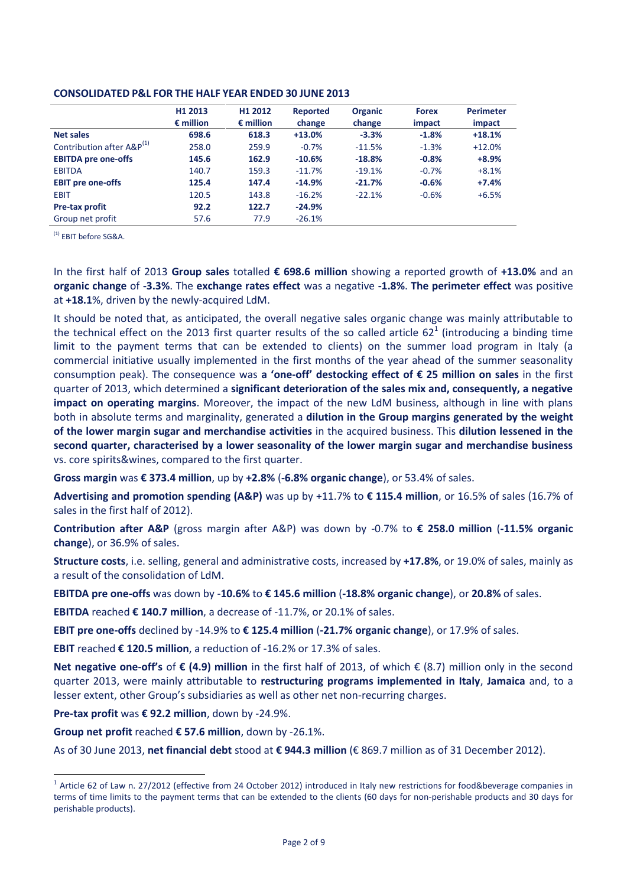|                                       | H1 2013<br>$\epsilon$ million | H <sub>1</sub> 2012<br>$\epsilon$ million | Reported<br>change | <b>Organic</b><br>change | <b>Forex</b><br>impact | <b>Perimeter</b><br>impact |
|---------------------------------------|-------------------------------|-------------------------------------------|--------------------|--------------------------|------------------------|----------------------------|
| <b>Net sales</b>                      | 698.6                         | 618.3                                     | $+13.0%$           | $-3.3%$                  | $-1.8%$                | $+18.1%$                   |
| Contribution after A&P <sup>(1)</sup> | 258.0                         | 259.9                                     | $-0.7%$            | $-11.5%$                 | $-1.3%$                | $+12.0%$                   |
| <b>EBITDA pre one-offs</b>            | 145.6                         | 162.9                                     | $-10.6%$           | $-18.8%$                 | $-0.8%$                | $+8.9%$                    |
| <b>EBITDA</b>                         | 140.7                         | 159.3                                     | $-11.7%$           | $-19.1%$                 | $-0.7%$                | $+8.1%$                    |
| <b>EBIT</b> pre one-offs              | 125.4                         | 147.4                                     | $-14.9%$           | $-21.7%$                 | $-0.6%$                | $+7.4%$                    |
| <b>EBIT</b>                           | 120.5                         | 143.8                                     | $-16.2%$           | $-22.1%$                 | $-0.6%$                | $+6.5%$                    |
| <b>Pre-tax profit</b>                 | 92.2                          | 122.7                                     | $-24.9%$           |                          |                        |                            |
| Group net profit                      | 57.6                          | 77.9                                      | $-26.1%$           |                          |                        |                            |

# **CONSOLIDATED P&L FOR THE HALF YEAR ENDED 30 JUNE 2013**

(1) EBIT before SG&A.

In the first half of 2013 **Group sales** totalled **€ 698.6 million** showing a reported growth of **+13.0%** and an **organic change** of **-3.3%**. The **exchange rates effect** was a negative **-1.8%**. **The perimeter effect** was positive at **+18.1**%, driven by the newly-acquired LdM.

It should be noted that, as anticipated, the overall negative sales organic change was mainly attributable to the technical effect on the 2013 first quarter results of the so called article 62<sup>1</sup> (introducing a binding time limit to the payment terms that can be extended to clients) on the summer load program in Italy (a commercial initiative usually implemented in the first months of the year ahead of the summer seasonality consumption peak). The consequence was **a 'one-off' destocking effect of € 25 million on sales** in the first quarter of 2013, which determined a **significant deterioration of the sales mix and, consequently, a negative impact on operating margins**. Moreover, the impact of the new LdM business, although in line with plans both in absolute terms and marginality, generated a **dilution in the Group margins generated by the weight of the lower margin sugar and merchandise activities** in the acquired business. This **dilution lessened in the second quarter, characterised by a lower seasonality of the lower margin sugar and merchandise business**  vs. core spirits&wines, compared to the first quarter.

**Gross margin** was **€ 373.4 million**, up by **+2.8%** (**-6.8% organic change**), or 53.4% of sales.

**Advertising and promotion spending (A&P)** was up by +11.7% to **€ 115.4 million**, or 16.5% of sales (16.7% of sales in the first half of 2012).

**Contribution after A&P** (gross margin after A&P) was down by -0.7% to **€ 258.0 million** (**-11.5% organic change**), or 36.9% of sales.

**Structure costs**, i.e. selling, general and administrative costs, increased by **+17.8%**, or 19.0% of sales, mainly as a result of the consolidation of LdM.

**EBITDA pre one-offs** was down by -**10.6%** to **€ 145.6 million** (**-18.8% organic change**), or **20.8%** of sales.

**EBITDA** reached **€ 140.7 million**, a decrease of -11.7%, or 20.1% of sales.

**EBIT pre one-offs** declined by -14.9% to **€ 125.4 million** (**-21.7% organic change**), or 17.9% of sales.

**EBIT** reached **€ 120.5 million**, a reduction of -16.2% or 17.3% of sales.

**Net negative one-off's** of **€ (4.9) million** in the first half of 2013, of which € (8.7) million only in the second quarter 2013, were mainly attributable to **restructuring programs implemented in Italy**, **Jamaica** and, to a lesser extent, other Group's subsidiaries as well as other net non-recurring charges.

**Pre-tax profit** was **€ 92.2 million**, down by -24.9%.

 $\overline{a}$ 

**Group net profit** reached **€ 57.6 million**, down by -26.1%.

As of 30 June 2013, **net financial debt** stood at **€ 944.3 million** (€ 869.7 million as of 31 December 2012).

 $1$  Article 62 of Law n. 27/2012 (effective from 24 October 2012) introduced in Italy new restrictions for food&beverage companies in terms of time limits to the payment terms that can be extended to the clients (60 days for non-perishable products and 30 days for perishable products).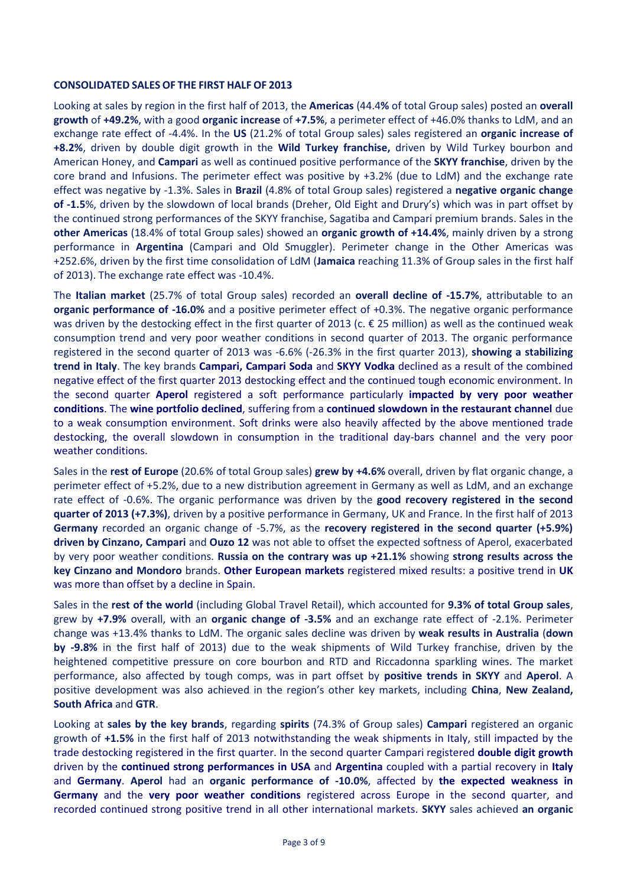# **CONSOLIDATED SALES OF THE FIRST HALF OF 2013**

Looking at sales by region in the first half of 2013, the **Americas** (44.4**%** of total Group sales) posted an **overall growth** of **+49.2%**, with a good **organic increase** of **+7.5%**, a perimeter effect of +46.0% thanks to LdM, and an exchange rate effect of -4.4%. In the **US** (21.2% of total Group sales) sales registered an **organic increase of +8.2%**, driven by double digit growth in the **Wild Turkey franchise,** driven by Wild Turkey bourbon and American Honey, and **Campari** as well as continued positive performance of the **SKYY franchise**, driven by the core brand and Infusions. The perimeter effect was positive by +3.2% (due to LdM) and the exchange rate effect was negative by -1.3%. Sales in **Brazil** (4.8% of total Group sales) registered a **negative organic change of -1.5**%, driven by the slowdown of local brands (Dreher, Old Eight and Drury's) which was in part offset by the continued strong performances of the SKYY franchise, Sagatiba and Campari premium brands. Sales in the **other Americas** (18.4% of total Group sales) showed an **organic growth of +14.4%**, mainly driven by a strong performance in **Argentina** (Campari and Old Smuggler). Perimeter change in the Other Americas was +252.6%, driven by the first time consolidation of LdM (**Jamaica** reaching 11.3% of Group sales in the first half of 2013). The exchange rate effect was -10.4%.

The **Italian market** (25.7% of total Group sales) recorded an **overall decline of -15.7%**, attributable to an **organic performance of -16.0%** and a positive perimeter effect of +0.3%. The negative organic performance was driven by the destocking effect in the first quarter of 2013 (c. € 25 million) as well as the continued weak consumption trend and very poor weather conditions in second quarter of 2013. The organic performance registered in the second quarter of 2013 was -6.6% (-26.3% in the first quarter 2013), **showing a stabilizing trend in Italy**. The key brands **Campari, Campari Soda** and **SKYY Vodka** declined as a result of the combined negative effect of the first quarter 2013 destocking effect and the continued tough economic environment. In the second quarter **Aperol** registered a soft performance particularly **impacted by very poor weather conditions**. The **wine portfolio declined**, suffering from a **continued slowdown in the restaurant channel** due to a weak consumption environment. Soft drinks were also heavily affected by the above mentioned trade destocking, the overall slowdown in consumption in the traditional day-bars channel and the very poor weather conditions.

Sales in the **rest of Europe** (20.6% of total Group sales) **grew by +4.6%** overall, driven by flat organic change, a perimeter effect of +5.2%, due to a new distribution agreement in Germany as well as LdM, and an exchange rate effect of -0.6%. The organic performance was driven by the **good recovery registered in the second quarter of 2013 (+7.3%)**, driven by a positive performance in Germany, UK and France. In the first half of 2013 **Germany** recorded an organic change of -5.7%, as the **recovery registered in the second quarter (+5.9%) driven by Cinzano, Campari** and **Ouzo 12** was not able to offset the expected softness of Aperol, exacerbated by very poor weather conditions. **Russia on the contrary was up +21.1%** showing **strong results across the key Cinzano and Mondoro** brands. **Other European markets** registered mixed results: a positive trend in **UK** was more than offset by a decline in Spain.

Sales in the **rest of the world** (including Global Travel Retail), which accounted for **9.3% of total Group sales**, grew by **+7.9%** overall, with an **organic change of -3.5%** and an exchange rate effect of -2.1%. Perimeter change was +13.4% thanks to LdM. The organic sales decline was driven by **weak results in Australia** (**down by -9.8%** in the first half of 2013) due to the weak shipments of Wild Turkey franchise, driven by the heightened competitive pressure on core bourbon and RTD and Riccadonna sparkling wines. The market performance, also affected by tough comps, was in part offset by **positive trends in SKYY** and **Aperol**. A positive development was also achieved in the region's other key markets, including **China**, **New Zealand, South Africa** and **GTR**.

Looking at **sales by the key brands**, regarding **spirits** (74.3% of Group sales) **Campari** registered an organic growth of **+1.5%** in the first half of 2013 notwithstanding the weak shipments in Italy, still impacted by the trade destocking registered in the first quarter. In the second quarter Campari registered **double digit growth** driven by the **continued strong performances in USA** and **Argentina** coupled with a partial recovery in **Italy**  and **Germany**. **Aperol** had an **organic performance of -10.0%**, affected by **the expected weakness in Germany** and the **very poor weather conditions** registered across Europe in the second quarter, and recorded continued strong positive trend in all other international markets. **SKYY** sales achieved **an organic**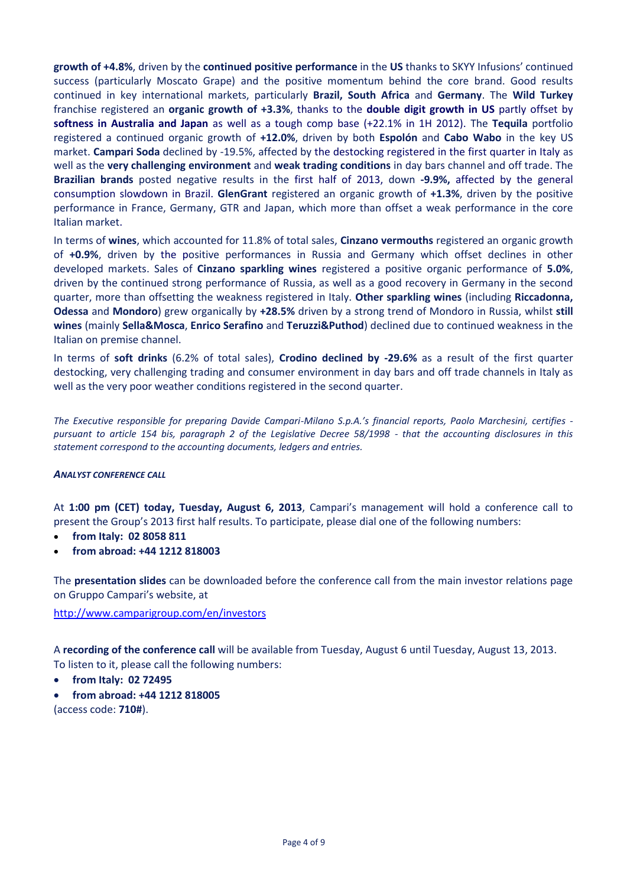**growth of +4.8%**, driven by the **continued positive performance** in the **US** thanks to SKYY Infusions' continued success (particularly Moscato Grape) and the positive momentum behind the core brand. Good results continued in key international markets, particularly **Brazil, South Africa** and **Germany**. The **Wild Turkey**  franchise registered an **organic growth of +3.3%**, thanks to the **double digit growth in US** partly offset by **softness in Australia and Japan** as well as a tough comp base (+22.1% in 1H 2012). The **Tequila** portfolio registered a continued organic growth of **+12.0%**, driven by both **Espolón** and **Cabo Wabo** in the key US market. **Campari Soda** declined by -19.5%, affected by the destocking registered in the first quarter in Italy as well as the **very challenging environment** and **weak trading conditions** in day bars channel and off trade. The **Brazilian brands** posted negative results in the first half of 2013, down **-9.9%,** affected by the general consumption slowdown in Brazil. **GlenGrant** registered an organic growth of **+1.3%**, driven by the positive performance in France, Germany, GTR and Japan, which more than offset a weak performance in the core Italian market.

In terms of **wines**, which accounted for 11.8% of total sales, **Cinzano vermouths** registered an organic growth of **+0.9%**, driven by the positive performances in Russia and Germany which offset declines in other developed markets. Sales of **Cinzano sparkling wines** registered a positive organic performance of **5.0%**, driven by the continued strong performance of Russia, as well as a good recovery in Germany in the second quarter, more than offsetting the weakness registered in Italy. **Other sparkling wines** (including **Riccadonna, Odessa** and **Mondoro**) grew organically by **+28.5%** driven by a strong trend of Mondoro in Russia, whilst **still wines** (mainly **Sella&Mosca**, **Enrico Serafino** and **Teruzzi&Puthod**) declined due to continued weakness in the Italian on premise channel.

In terms of **soft drinks** (6.2% of total sales), **Crodino declined by -29.6%** as a result of the first quarter destocking, very challenging trading and consumer environment in day bars and off trade channels in Italy as well as the very poor weather conditions registered in the second quarter.

*The Executive responsible for preparing Davide Campari-Milano S.p.A.'s financial reports, Paolo Marchesini, certifies pursuant to article 154 bis, paragraph 2 of the Legislative Decree 58/1998 - that the accounting disclosures in this statement correspond to the accounting documents, ledgers and entries.* 

# *ANALYST CONFERENCE CALL*

At **1:00 pm (CET) today, Tuesday, August 6, 2013**, Campari's management will hold a conference call to present the Group's 2013 first half results. To participate, please dial one of the following numbers:

- **from Italy: 02 8058 811**
- **from abroad: +44 1212 818003**

The **presentation slides** can be downloaded before the conference call from the main investor relations page on Gruppo Campari's website, at

<http://www.camparigroup.com/en/investors>

A **recording of the conference call** will be available from Tuesday, August 6 until Tuesday, August 13, 2013. To listen to it, please call the following numbers:

- **from Italy: 02 72495**
- **from abroad: +44 1212 818005**

(access code: **710#**).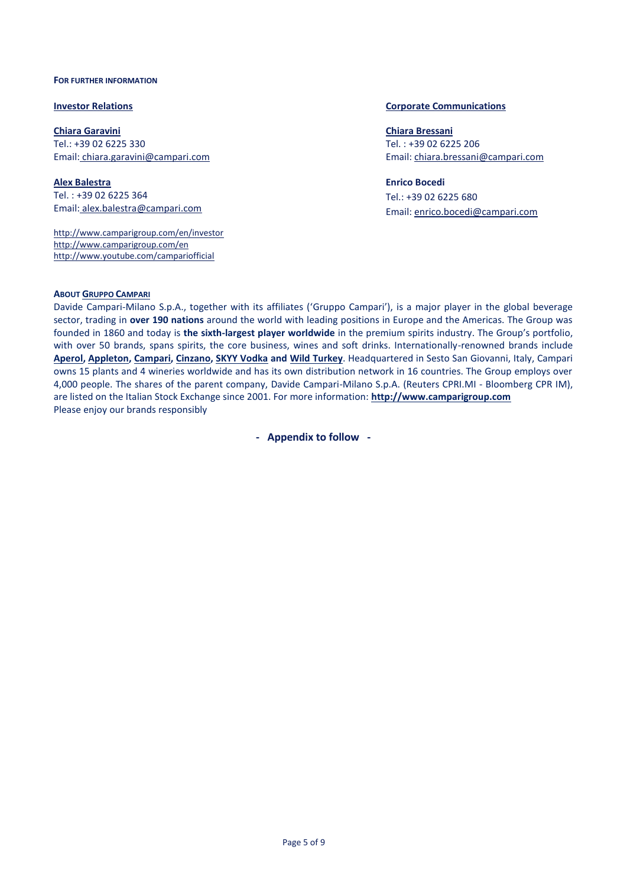#### **FOR FURTHER INFORMATION**

**Chiara Garavini** Tel.: +39 02 6225 330 Email: [chiara.garavini@campari.com](mailto:chiara.garavini@campari.com)

**Alex Balestra** Tel. : +39 02 6225 364 Email: alex.balestra@campari.com

http://www.camparigroup.com/en/investor http://www.camparigroup.com/en http://www.youtube.com/campariofficial

#### **Investor Relations Corporate Communications**

**Chiara Bressani** Tel. : +39 02 6225 206 Email[: chiara.bressani@campari.com](mailto:chiara.bressani@campari.com)

**Enrico Bocedi** Tel.: +39 02 6225 680 Email: enrico.bocedi@campari.com

#### **ABOUT GRUPPO C[AMPARI](http://www.camparigroup.com/en/index.shtml)**

Davide Campari-Milano S.p.A., together with its affiliates ('Gruppo Campari'), is a major player in the global beverage sector, trading in **over 190 nations** around the world with leading positions in Europe and the Americas. The Group was founded in 1860 and today is **the sixth-largest player worldwide** in the premium spirits industry. The Group's portfolio, with over 50 brands, spans spirits, the core business, wines and soft drinks. Internationally-renowned brands include **[Aperol,](http://www.aperol.com/?http%3A//www.aperol.com/) [Appleton,](http://www.appletonestate.com/) [Campari,](http://www.campari.com/) [Cinzano,](http://www.cinzano.com/) [SKYY Vodka](http://www.skyy.com/) and [Wild Turkey](http://www.wildturkeybourbon.com.au/)**. Headquartered in Sesto San Giovanni, Italy, Campari owns 15 plants and 4 wineries worldwide and has its own distribution network in 16 countries. The Group employs over 4,000 people. The shares of the parent company, Davide Campari-Milano S.p.A. (Reuters CPRI.MI - Bloomberg CPR IM), are listed on the Italian Stock Exchange since 2001. For more information: **[http://www.camparigroup.com](http://www.camparigroup.com/)** Please enjoy our brands responsibly

**- Appendix to follow -**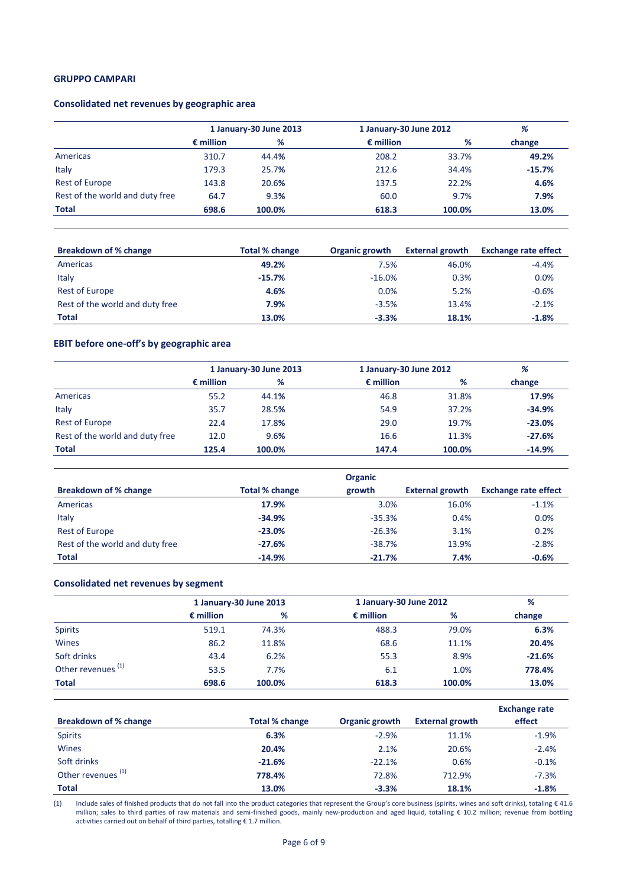#### **Consolidated net revenues by geographic area**

|                                 | 1 January-30 June 2013 |        | 1 January-30 June 2012 |        | %        |  |
|---------------------------------|------------------------|--------|------------------------|--------|----------|--|
|                                 | $\epsilon$ million     | %      | $\epsilon$ million     | %      | change   |  |
| Americas                        | 310.7                  | 44.4%  | 208.2                  | 33.7%  | 49.2%    |  |
| Italy                           | 179.3                  | 25.7%  | 212.6                  | 34.4%  | $-15.7%$ |  |
| <b>Rest of Europe</b>           | 143.8                  | 20.6%  | 137.5                  | 22.2%  | 4.6%     |  |
| Rest of the world and duty free | 64.7                   | 9.3%   | 60.0                   | 9.7%   | 7.9%     |  |
| <b>Total</b>                    | 698.6                  | 100.0% | 618.3                  | 100.0% | 13.0%    |  |

| <b>Breakdown of % change</b>    | Total % change | Organic growth | <b>External growth</b> | <b>Exchange rate effect</b> |
|---------------------------------|----------------|----------------|------------------------|-----------------------------|
| Americas                        | 49.2%          | 7.5%           | 46.0%                  | $-4.4%$                     |
| Italy                           | $-15.7%$       | $-16.0%$       | 0.3%                   | 0.0%                        |
| Rest of Europe                  | 4.6%           | 0.0%           | 5.2%                   | $-0.6%$                     |
| Rest of the world and duty free | 7.9%           | $-3.5%$        | 13.4%                  | $-2.1%$                     |
| <b>Total</b>                    | 13.0%          | $-3.3%$        | 18.1%                  | $-1.8%$                     |

# **EBIT before one-off's by geographic area**

|                                 | 1 January-30 June 2013 |        | 1 January-30 June 2012 | %      |          |
|---------------------------------|------------------------|--------|------------------------|--------|----------|
|                                 | $\epsilon$ million     | %      | $\epsilon$ million     | %      | change   |
| Americas                        | 55.2                   | 44.1%  | 46.8                   | 31.8%  | 17.9%    |
| Italy                           | 35.7                   | 28.5%  | 54.9                   | 37.2%  | $-34.9%$ |
| <b>Rest of Europe</b>           | 22.4                   | 17.8%  | 29.0                   | 19.7%  | $-23.0%$ |
| Rest of the world and duty free | 12.0                   | 9.6%   | 16.6                   | 11.3%  | $-27.6%$ |
| Total                           | 125.4                  | 100.0% | 147.4                  | 100.0% | $-14.9%$ |

|                                 | <b>Organic</b> |          |                        |                             |  |
|---------------------------------|----------------|----------|------------------------|-----------------------------|--|
| Breakdown of % change           | Total % change | growth   | <b>External growth</b> | <b>Exchange rate effect</b> |  |
| Americas                        | 17.9%          | 3.0%     | 16.0%                  | $-1.1%$                     |  |
| Italy                           | $-34.9%$       | $-35.3%$ | 0.4%                   | 0.0%                        |  |
| Rest of Europe                  | $-23.0%$       | $-26.3%$ | 3.1%                   | 0.2%                        |  |
| Rest of the world and duty free | $-27.6%$       | $-38.7%$ | 13.9%                  | $-2.8%$                     |  |
| <b>Total</b>                    | $-14.9%$       | $-21.7%$ | 7.4%                   | $-0.6%$                     |  |

# **Consolidated net revenues by segment**

|                               |                    | 1 January-30 June 2013 |                    | 1 January-30 June 2012 |          |  |
|-------------------------------|--------------------|------------------------|--------------------|------------------------|----------|--|
|                               | $\epsilon$ million | %                      | $\epsilon$ million | %                      | change   |  |
| <b>Spirits</b>                | 519.1              | 74.3%                  | 488.3              | 79.0%                  | 6.3%     |  |
| Wines                         | 86.2               | 11.8%                  | 68.6               | 11.1%                  | 20.4%    |  |
| Soft drinks                   | 43.4               | 6.2%                   | 55.3               | 8.9%                   | $-21.6%$ |  |
| Other revenues <sup>(1)</sup> | 53.5               | 7.7%                   | 6.1                | 1.0%                   | 778.4%   |  |
| <b>Total</b>                  | 698.6              | 100.0%                 | 618.3              | 100.0%                 | 13.0%    |  |

|                               |                       |                |                        | <b>Exchange rate</b> |
|-------------------------------|-----------------------|----------------|------------------------|----------------------|
| <b>Breakdown of % change</b>  | <b>Total % change</b> | Organic growth | <b>External growth</b> | effect               |
| <b>Spirits</b>                | 6.3%                  | $-2.9%$        | 11.1%                  | $-1.9%$              |
| Wines                         | 20.4%                 | 2.1%           | 20.6%                  | $-2.4%$              |
| Soft drinks                   | $-21.6%$              | $-22.1%$       | 0.6%                   | $-0.1%$              |
| Other revenues <sup>(1)</sup> | 778.4%                | 72.8%          | 712.9%                 | $-7.3%$              |
| <b>Total</b>                  | 13.0%                 | $-3.3%$        | 18.1%                  | $-1.8%$              |

(1) Include sales of finished products that do not fall into the product categories that represent the Group's core business (spirits, wines and soft drinks), totaling € 41.6 million; sales to third parties of raw materials and semi-finished goods, mainly new-production and aged liquid, totalling € 10.2 million; revenue from bottling activities carried out on behalf of third parties, totalling € 1.7 million.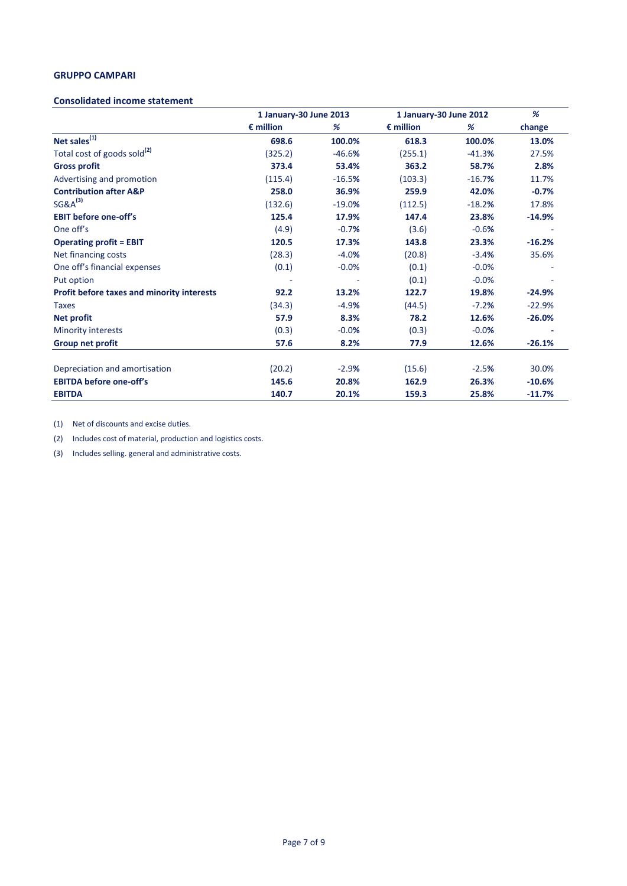#### **Consolidated income statement**

|                                            | 1 January-30 June 2013 |          | 1 January-30 June 2012 |          | %        |
|--------------------------------------------|------------------------|----------|------------------------|----------|----------|
|                                            | $\epsilon$ million     | %        | $\epsilon$ million     | %        | change   |
| Net sales $\overline{^{(1)}}$              | 698.6                  | 100.0%   | 618.3                  | 100.0%   | 13.0%    |
| Total cost of goods sold <sup>(2)</sup>    | (325.2)                | $-46.6%$ | (255.1)                | $-41.3%$ | 27.5%    |
| <b>Gross profit</b>                        | 373.4                  | 53.4%    | 363.2                  | 58.7%    | 2.8%     |
| Advertising and promotion                  | (115.4)                | $-16.5%$ | (103.3)                | $-16.7%$ | 11.7%    |
| <b>Contribution after A&amp;P</b>          | 258.0                  | 36.9%    | 259.9                  | 42.0%    | $-0.7%$  |
| $SG&A^{(3)}$                               | (132.6)                | $-19.0%$ | (112.5)                | $-18.2%$ | 17.8%    |
| <b>EBIT before one-off's</b>               | 125.4                  | 17.9%    | 147.4                  | 23.8%    | $-14.9%$ |
| One off's                                  | (4.9)                  | $-0.7%$  | (3.6)                  | $-0.6%$  |          |
| <b>Operating profit = EBIT</b>             | 120.5                  | 17.3%    | 143.8                  | 23.3%    | $-16.2%$ |
| Net financing costs                        | (28.3)                 | $-4.0%$  | (20.8)                 | $-3.4%$  | 35.6%    |
| One off's financial expenses               | (0.1)                  | $-0.0%$  | (0.1)                  | $-0.0%$  |          |
| Put option                                 |                        |          | (0.1)                  | $-0.0%$  |          |
| Profit before taxes and minority interests | 92.2                   | 13.2%    | 122.7                  | 19.8%    | $-24.9%$ |
| <b>Taxes</b>                               | (34.3)                 | $-4.9%$  | (44.5)                 | $-7.2%$  | $-22.9%$ |
| Net profit                                 | 57.9                   | 8.3%     | 78.2                   | 12.6%    | $-26.0%$ |
| <b>Minority interests</b>                  | (0.3)                  | $-0.0%$  | (0.3)                  | $-0.0%$  |          |
| Group net profit                           | 57.6                   | 8.2%     | 77.9                   | 12.6%    | $-26.1%$ |
| Depreciation and amortisation              | (20.2)                 | $-2.9%$  | (15.6)                 | $-2.5%$  | 30.0%    |
| <b>EBITDA before one-off's</b>             | 145.6                  | 20.8%    | 162.9                  | 26.3%    | $-10.6%$ |
| <b>EBITDA</b>                              | 140.7                  | 20.1%    | 159.3                  | 25.8%    | $-11.7%$ |

(1) Net of discounts and excise duties.

(2) Includes cost of material, production and logistics costs.

(3) Includes selling. general and administrative costs.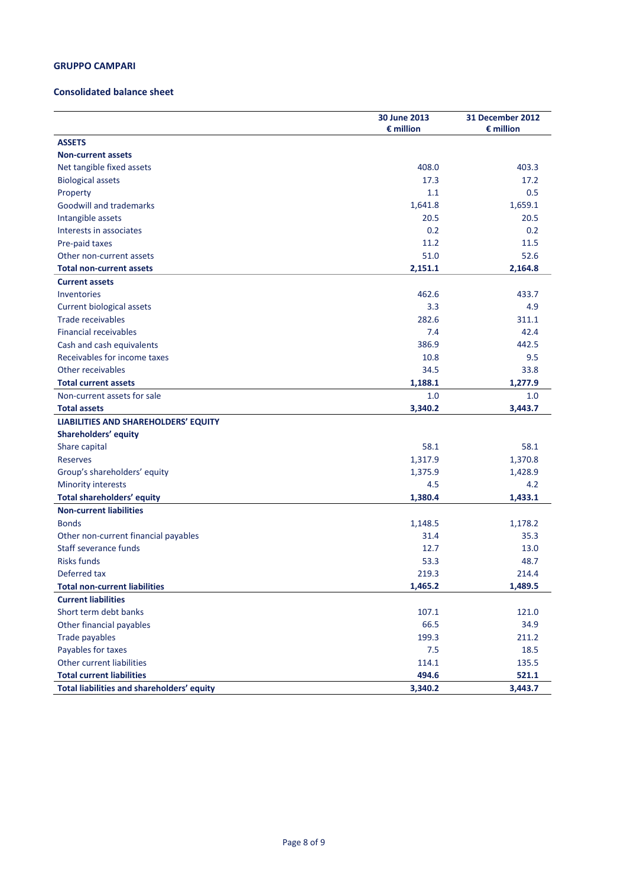### **Consolidated balance sheet**

|                                            | 30 June 2013<br>$\epsilon$ million | <b>31 December 2012</b><br>$\epsilon$ million |
|--------------------------------------------|------------------------------------|-----------------------------------------------|
| <b>ASSETS</b>                              |                                    |                                               |
| <b>Non-current assets</b>                  |                                    |                                               |
| Net tangible fixed assets                  | 408.0                              | 403.3                                         |
| <b>Biological assets</b>                   | 17.3                               | 17.2                                          |
| Property                                   | 1.1                                | 0.5                                           |
| <b>Goodwill and trademarks</b>             | 1,641.8                            | 1,659.1                                       |
| Intangible assets                          | 20.5                               | 20.5                                          |
| Interests in associates                    | 0.2                                | 0.2                                           |
| Pre-paid taxes                             | 11.2                               | 11.5                                          |
| Other non-current assets                   | 51.0                               | 52.6                                          |
| <b>Total non-current assets</b>            | 2,151.1                            | 2,164.8                                       |
| <b>Current assets</b>                      |                                    |                                               |
| <b>Inventories</b>                         | 462.6                              | 433.7                                         |
| Current biological assets                  | 3.3                                | 4.9                                           |
| <b>Trade receivables</b>                   | 282.6                              | 311.1                                         |
| <b>Financial receivables</b>               | 7.4                                | 42.4                                          |
| Cash and cash equivalents                  | 386.9                              | 442.5                                         |
| Receivables for income taxes               | 10.8                               | 9.5                                           |
| Other receivables                          | 34.5                               | 33.8                                          |
| <b>Total current assets</b>                | 1,188.1                            | 1,277.9                                       |
| Non-current assets for sale                | 1.0                                | 1.0                                           |
| <b>Total assets</b>                        | 3,340.2                            | 3,443.7                                       |
| LIABILITIES AND SHAREHOLDERS' EQUITY       |                                    |                                               |
| <b>Shareholders' equity</b>                |                                    |                                               |
| Share capital                              | 58.1                               | 58.1                                          |
| <b>Reserves</b>                            | 1,317.9                            | 1,370.8                                       |
| Group's shareholders' equity               | 1,375.9                            | 1,428.9                                       |
| Minority interests                         | 4.5                                | 4.2                                           |
| <b>Total shareholders' equity</b>          | 1,380.4                            | 1,433.1                                       |
| <b>Non-current liabilities</b>             |                                    |                                               |
| <b>Bonds</b>                               | 1,148.5                            | 1,178.2                                       |
| Other non-current financial payables       | 31.4                               | 35.3                                          |
| Staff severance funds                      | 12.7                               | 13.0                                          |
| <b>Risks funds</b>                         | 53.3                               | 48.7                                          |
| Deferred tax                               | 219.3                              | 214.4                                         |
| <b>Total non-current liabilities</b>       | 1,465.2                            | 1,489.5                                       |
| <b>Current liabilities</b>                 |                                    |                                               |
| Short term debt banks                      | 107.1                              | 121.0                                         |
| Other financial payables                   | 66.5                               | 34.9                                          |
| Trade payables                             | 199.3                              | 211.2                                         |
| Payables for taxes                         | 7.5                                | 18.5                                          |
| Other current liabilities                  | 114.1                              | 135.5                                         |
| <b>Total current liabilities</b>           | 494.6                              | 521.1                                         |
| Total liabilities and shareholders' equity | 3,340.2                            | 3,443.7                                       |